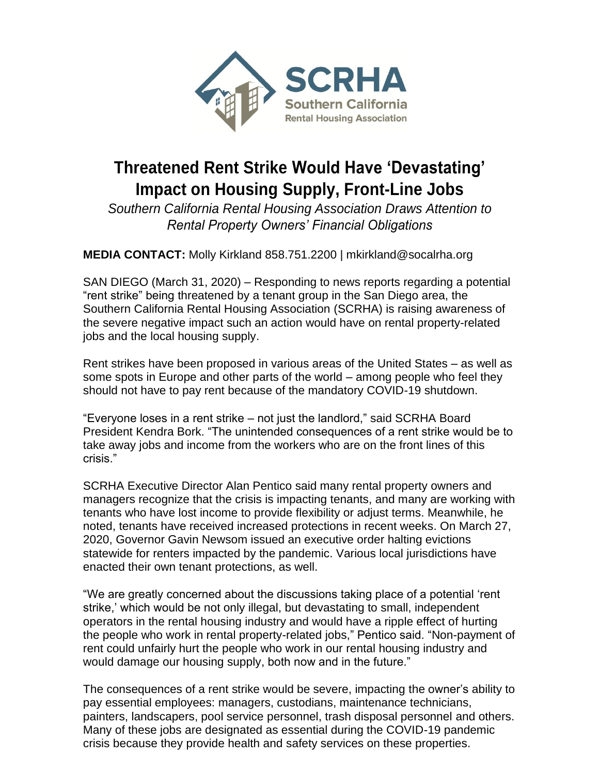

## **Threatened Rent Strike Would Have 'Devastating' Impact on Housing Supply, Front-Line Jobs**

*Southern California Rental Housing Association Draws Attention to Rental Property Owners' Financial Obligations*

**MEDIA CONTACT:** Molly Kirkland 858.751.2200 | mkirkland@socalrha.org

SAN DIEGO (March 31, 2020) – Responding to news reports regarding a potential "rent strike" being threatened by a tenant group in the San Diego area, the Southern California Rental Housing Association (SCRHA) is raising awareness of the severe negative impact such an action would have on rental property-related jobs and the local housing supply.

Rent strikes have been proposed in various areas of the United States – as well as some spots in Europe and other parts of the world – among people who feel they should not have to pay rent because of the mandatory COVID-19 shutdown.

"Everyone loses in a rent strike – not just the landlord," said SCRHA Board President Kendra Bork. "The unintended consequences of a rent strike would be to take away jobs and income from the workers who are on the front lines of this crisis."

SCRHA Executive Director Alan Pentico said many rental property owners and managers recognize that the crisis is impacting tenants, and many are working with tenants who have lost income to provide flexibility or adjust terms. Meanwhile, he noted, tenants have received increased protections in recent weeks. On March 27, 2020, Governor Gavin Newsom issued an executive order halting evictions statewide for renters impacted by the pandemic. Various local jurisdictions have enacted their own tenant protections, as well.

"We are greatly concerned about the discussions taking place of a potential 'rent strike,' which would be not only illegal, but devastating to small, independent operators in the rental housing industry and would have a ripple effect of hurting the people who work in rental property-related jobs," Pentico said. "Non-payment of rent could unfairly hurt the people who work in our rental housing industry and would damage our housing supply, both now and in the future."

The consequences of a rent strike would be severe, impacting the owner's ability to pay essential employees: managers, custodians, maintenance technicians, painters, landscapers, pool service personnel, trash disposal personnel and others. Many of these jobs are designated as essential during the COVID-19 pandemic crisis because they provide health and safety services on these properties.